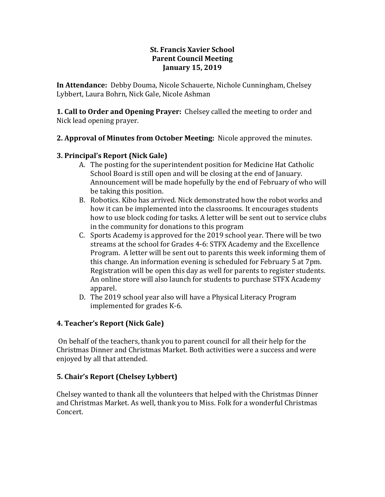#### **St. Francis Xavier School Parent Council Meeting January 15, 2019**

**In Attendance:** Debby Douma, Nicole Schauerte, Nichole Cunningham, Chelsey Lybbert, Laura Bohrn, Nick Gale, Nicole Ashman

**1. Call to Order and Opening Prayer:** Chelsey called the meeting to order and Nick lead opening prayer.

# **2. Approval of Minutes from October Meeting:** Nicole approved the minutes.

#### **3. Principal's Report (Nick Gale)**

- A. The posting for the superintendent position for Medicine Hat Catholic School Board is still open and will be closing at the end of January. Announcement will be made hopefully by the end of February of who will be taking this position.
- B. Robotics. Kibo has arrived. Nick demonstrated how the robot works and how it can be implemented into the classrooms. It encourages students how to use block coding for tasks. A letter will be sent out to service clubs in the community for donations to this program
- C. Sports Academy is approved for the 2019 school year. There will be two streams at the school for Grades 4-6: STFX Academy and the Excellence Program. A letter will be sent out to parents this week informing them of this change. An information evening is scheduled for February 5 at 7pm. Registration will be open this day as well for parents to register students. An online store will also launch for students to purchase STFX Academy apparel.
- D. The 2019 school year also will have a Physical Literacy Program implemented for grades K-6.

# **4. Teacher's Report (Nick Gale)**

On behalf of the teachers, thank you to parent council for all their help for the Christmas Dinner and Christmas Market. Both activities were a success and were enjoyed by all that attended.

# **5. Chair's Report (Chelsey Lybbert)**

Chelsey wanted to thank all the volunteers that helped with the Christmas Dinner and Christmas Market. As well, thank you to Miss. Folk for a wonderful Christmas Concert.